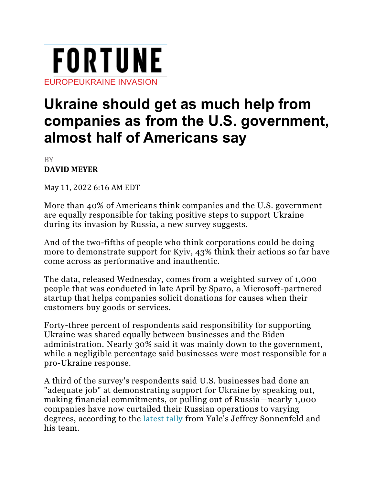

## **Ukraine should get as much help from companies as from the U.S. government, almost half of Americans say**

BY **DAVID [MEYER](https://fortune.com/author/david-meyer/)**

May 11, 2022 6:16 AM EDT

More than 40% of Americans think companies and the U.S. government are equally responsible for taking positive steps to support Ukraine during its invasion by Russia, a new survey suggests.

And of the two-fifths of people who think corporations could be doing more to demonstrate support for Kyiv, 43% think their actions so far have come across as performative and inauthentic.

The data, released Wednesday, comes from a weighted survey of 1,000 people that was conducted in late April by Sparo, a Microsoft-partnered startup that helps companies solicit donations for causes when their customers buy goods or services.

Forty-three percent of respondents said responsibility for supporting Ukraine was shared equally between businesses and the Biden administration. Nearly 30% said it was mainly down to the government, while a negligible percentage said businesses were most responsible for a pro-Ukraine response.

A third of the survey's respondents said U.S. businesses had done an "adequate job" at demonstrating support for Ukraine by speaking out, making financial commitments, or pulling out of Russia—nearly 1,000 companies have now curtailed their Russian operations to varying degrees, according to the [latest](https://som.yale.edu/story/2022/almost-1000-companies-have-curtailed-operations-russia-some-remain) tally from Yale's Jeffrey Sonnenfeld and his team.